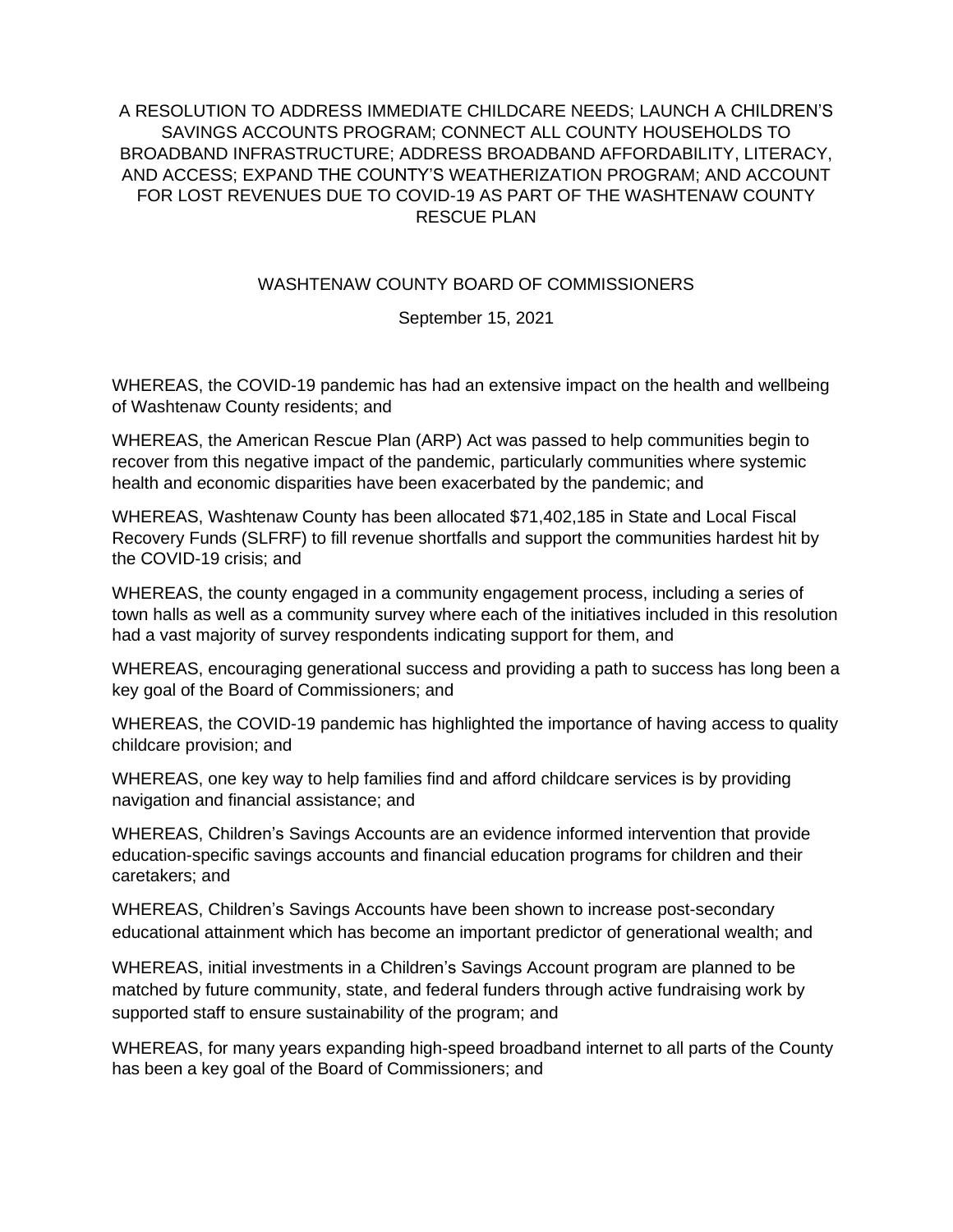## A RESOLUTION TO ADDRESS IMMEDIATE CHILDCARE NEEDS; LAUNCH A CHILDREN'S SAVINGS ACCOUNTS PROGRAM; CONNECT ALL COUNTY HOUSEHOLDS TO BROADBAND INFRASTRUCTURE; ADDRESS BROADBAND AFFORDABILITY, LITERACY, AND ACCESS; EXPAND THE COUNTY'S WEATHERIZATION PROGRAM; AND ACCOUNT FOR LOST REVENUES DUE TO COVID-19 AS PART OF THE WASHTENAW COUNTY RESCUE PLAN

## WASHTENAW COUNTY BOARD OF COMMISSIONERS

September 15, 2021

WHEREAS, the COVID-19 pandemic has had an extensive impact on the health and wellbeing of Washtenaw County residents; and

WHEREAS, the American Rescue Plan (ARP) Act was passed to help communities begin to recover from this negative impact of the pandemic, particularly communities where systemic health and economic disparities have been exacerbated by the pandemic; and

WHEREAS, Washtenaw County has been allocated \$71,402,185 in State and Local Fiscal Recovery Funds (SLFRF) to fill revenue shortfalls and support the communities hardest hit by the COVID-19 crisis; and

WHEREAS, the county engaged in a community engagement process, including a series of town halls as well as a community survey where each of the initiatives included in this resolution had a vast majority of survey respondents indicating support for them, and

WHEREAS, encouraging generational success and providing a path to success has long been a key goal of the Board of Commissioners; and

WHEREAS, the COVID-19 pandemic has highlighted the importance of having access to quality childcare provision; and

WHEREAS, one key way to help families find and afford childcare services is by providing navigation and financial assistance; and

WHEREAS, Children's Savings Accounts are an evidence informed intervention that provide education-specific savings accounts and financial education programs for children and their caretakers; and

WHEREAS, Children's Savings Accounts have been shown to increase post-secondary educational attainment which has become an important predictor of generational wealth; and

WHEREAS, initial investments in a Children's Savings Account program are planned to be matched by future community, state, and federal funders through active fundraising work by supported staff to ensure sustainability of the program; and

WHEREAS, for many years expanding high-speed broadband internet to all parts of the County has been a key goal of the Board of Commissioners; and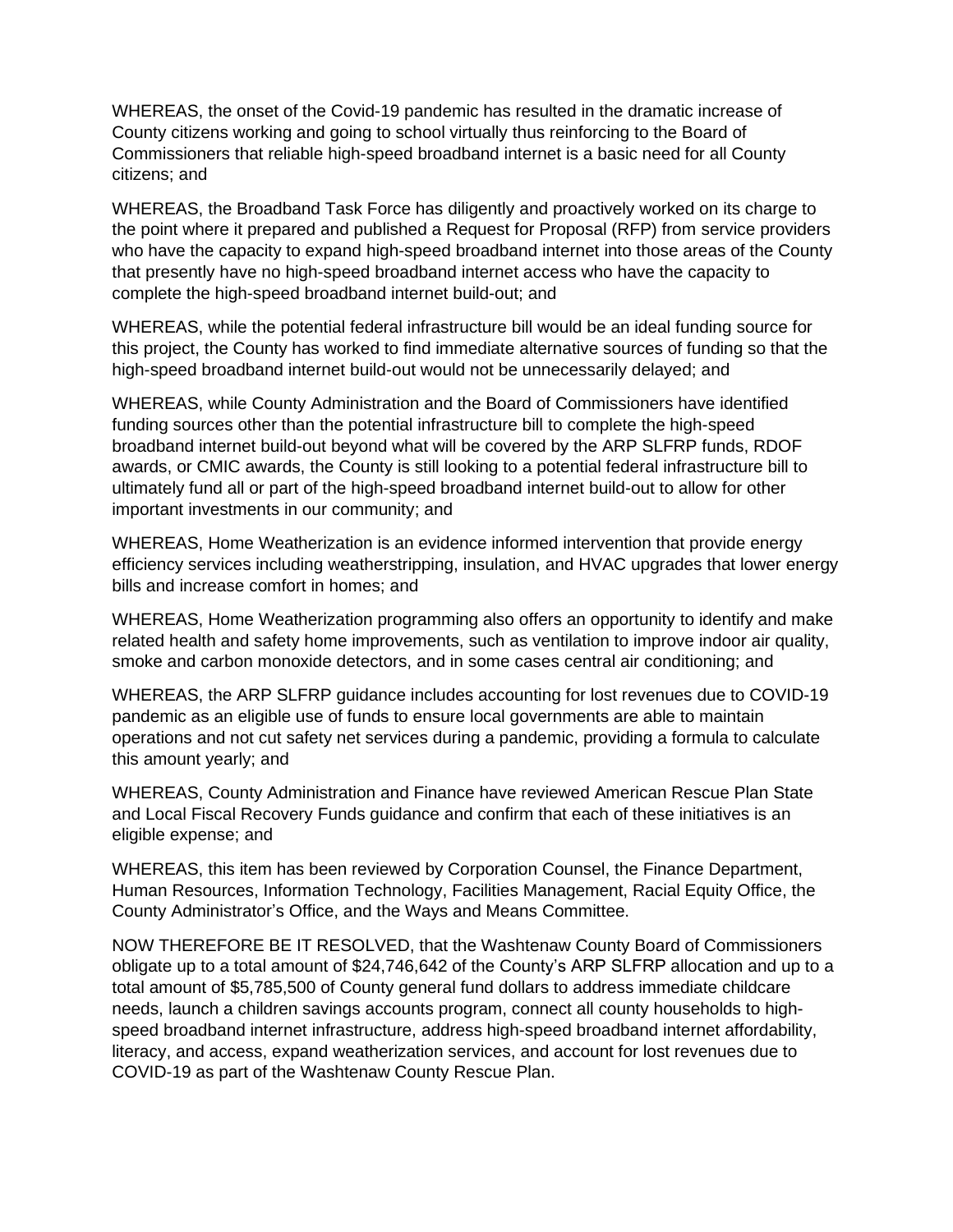WHEREAS, the onset of the Covid-19 pandemic has resulted in the dramatic increase of County citizens working and going to school virtually thus reinforcing to the Board of Commissioners that reliable high-speed broadband internet is a basic need for all County citizens; and

WHEREAS, the Broadband Task Force has diligently and proactively worked on its charge to the point where it prepared and published a Request for Proposal (RFP) from service providers who have the capacity to expand high-speed broadband internet into those areas of the County that presently have no high-speed broadband internet access who have the capacity to complete the high-speed broadband internet build-out; and

WHEREAS, while the potential federal infrastructure bill would be an ideal funding source for this project, the County has worked to find immediate alternative sources of funding so that the high-speed broadband internet build-out would not be unnecessarily delayed; and

WHEREAS, while County Administration and the Board of Commissioners have identified funding sources other than the potential infrastructure bill to complete the high-speed broadband internet build-out beyond what will be covered by the ARP SLFRP funds, RDOF awards, or CMIC awards, the County is still looking to a potential federal infrastructure bill to ultimately fund all or part of the high-speed broadband internet build-out to allow for other important investments in our community; and

WHEREAS, Home Weatherization is an evidence informed intervention that provide energy efficiency services including weatherstripping, insulation, and HVAC upgrades that lower energy bills and increase comfort in homes; and

WHEREAS, Home Weatherization programming also offers an opportunity to identify and make related health and safety home improvements, such as ventilation to improve indoor air quality, smoke and carbon monoxide detectors, and in some cases central air conditioning; and

WHEREAS, the ARP SLFRP guidance includes accounting for lost revenues due to COVID-19 pandemic as an eligible use of funds to ensure local governments are able to maintain operations and not cut safety net services during a pandemic, providing a formula to calculate this amount yearly; and

WHEREAS, County Administration and Finance have reviewed American Rescue Plan State and Local Fiscal Recovery Funds guidance and confirm that each of these initiatives is an eligible expense; and

WHEREAS, this item has been reviewed by Corporation Counsel, the Finance Department, Human Resources, Information Technology, Facilities Management, Racial Equity Office, the County Administrator's Office, and the Ways and Means Committee.

NOW THEREFORE BE IT RESOLVED, that the Washtenaw County Board of Commissioners obligate up to a total amount of \$24,746,642 of the County's ARP SLFRP allocation and up to a total amount of \$5,785,500 of County general fund dollars to address immediate childcare needs, launch a children savings accounts program, connect all county households to highspeed broadband internet infrastructure, address high-speed broadband internet affordability, literacy, and access, expand weatherization services, and account for lost revenues due to COVID-19 as part of the Washtenaw County Rescue Plan.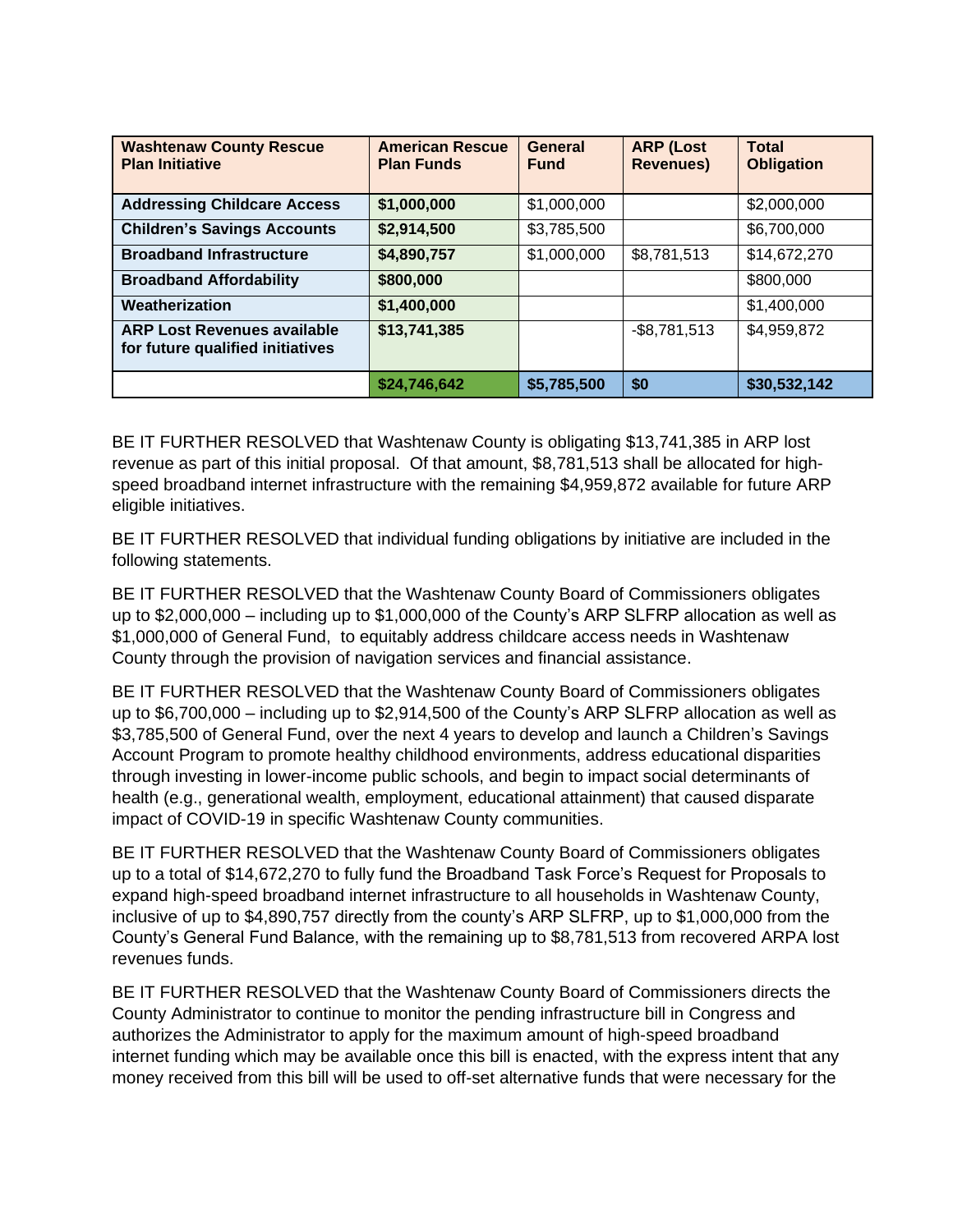| <b>Washtenaw County Rescue</b><br><b>Plan Initiative</b>               | <b>American Rescue</b><br><b>Plan Funds</b> | General<br><b>Fund</b> | <b>ARP (Lost</b><br><b>Revenues)</b> | <b>Total</b><br><b>Obligation</b> |
|------------------------------------------------------------------------|---------------------------------------------|------------------------|--------------------------------------|-----------------------------------|
| <b>Addressing Childcare Access</b>                                     | \$1,000,000                                 | \$1,000,000            |                                      | \$2,000,000                       |
| <b>Children's Savings Accounts</b>                                     | \$2,914,500                                 | \$3,785,500            |                                      | \$6,700,000                       |
| <b>Broadband Infrastructure</b>                                        | \$4,890,757                                 | \$1,000,000            | \$8,781,513                          | \$14,672,270                      |
| <b>Broadband Affordability</b>                                         | \$800,000                                   |                        |                                      | \$800,000                         |
| Weatherization                                                         | \$1,400,000                                 |                        |                                      | \$1,400,000                       |
| <b>ARP Lost Revenues available</b><br>for future qualified initiatives | \$13,741,385                                |                        | $-$8,781,513$                        | \$4,959,872                       |
|                                                                        | \$24,746,642                                | \$5,785,500            | \$0                                  | \$30,532,142                      |

BE IT FURTHER RESOLVED that Washtenaw County is obligating \$13,741,385 in ARP lost revenue as part of this initial proposal. Of that amount, \$8,781,513 shall be allocated for highspeed broadband internet infrastructure with the remaining \$4,959,872 available for future ARP eligible initiatives.

BE IT FURTHER RESOLVED that individual funding obligations by initiative are included in the following statements.

BE IT FURTHER RESOLVED that the Washtenaw County Board of Commissioners obligates up to \$2,000,000 – including up to \$1,000,000 of the County's ARP SLFRP allocation as well as \$1,000,000 of General Fund, to equitably address childcare access needs in Washtenaw County through the provision of navigation services and financial assistance.

BE IT FURTHER RESOLVED that the Washtenaw County Board of Commissioners obligates up to \$6,700,000 – including up to \$2,914,500 of the County's ARP SLFRP allocation as well as \$3,785,500 of General Fund, over the next 4 years to develop and launch a Children's Savings Account Program to promote healthy childhood environments, address educational disparities through investing in lower-income public schools, and begin to impact social determinants of health (e.g., generational wealth, employment, educational attainment) that caused disparate impact of COVID-19 in specific Washtenaw County communities.

BE IT FURTHER RESOLVED that the Washtenaw County Board of Commissioners obligates up to a total of \$14,672,270 to fully fund the Broadband Task Force's Request for Proposals to expand high-speed broadband internet infrastructure to all households in Washtenaw County, inclusive of up to \$4,890,757 directly from the county's ARP SLFRP, up to \$1,000,000 from the County's General Fund Balance, with the remaining up to \$8,781,513 from recovered ARPA lost revenues funds.

BE IT FURTHER RESOLVED that the Washtenaw County Board of Commissioners directs the County Administrator to continue to monitor the pending infrastructure bill in Congress and authorizes the Administrator to apply for the maximum amount of high-speed broadband internet funding which may be available once this bill is enacted, with the express intent that any money received from this bill will be used to off-set alternative funds that were necessary for the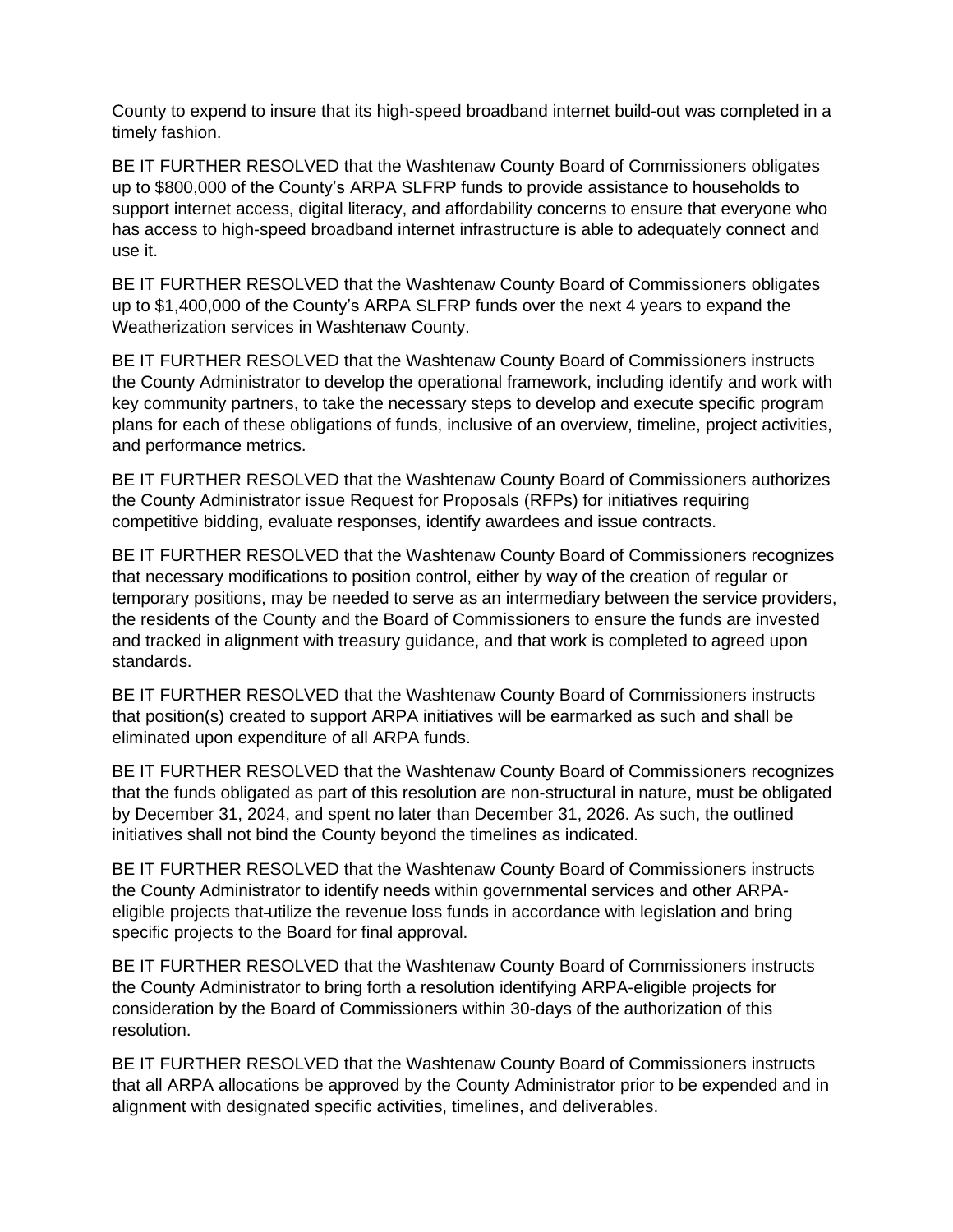County to expend to insure that its high-speed broadband internet build-out was completed in a timely fashion.

BE IT FURTHER RESOLVED that the Washtenaw County Board of Commissioners obligates up to \$800,000 of the County's ARPA SLFRP funds to provide assistance to households to support internet access, digital literacy, and affordability concerns to ensure that everyone who has access to high-speed broadband internet infrastructure is able to adequately connect and use it.

BE IT FURTHER RESOLVED that the Washtenaw County Board of Commissioners obligates up to \$1,400,000 of the County's ARPA SLFRP funds over the next 4 years to expand the Weatherization services in Washtenaw County.

BE IT FURTHER RESOLVED that the Washtenaw County Board of Commissioners instructs the County Administrator to develop the operational framework, including identify and work with key community partners, to take the necessary steps to develop and execute specific program plans for each of these obligations of funds, inclusive of an overview, timeline, project activities, and performance metrics.

BE IT FURTHER RESOLVED that the Washtenaw County Board of Commissioners authorizes the County Administrator issue Request for Proposals (RFPs) for initiatives requiring competitive bidding, evaluate responses, identify awardees and issue contracts.

BE IT FURTHER RESOLVED that the Washtenaw County Board of Commissioners recognizes that necessary modifications to position control, either by way of the creation of regular or temporary positions, may be needed to serve as an intermediary between the service providers, the residents of the County and the Board of Commissioners to ensure the funds are invested and tracked in alignment with treasury guidance, and that work is completed to agreed upon standards.

BE IT FURTHER RESOLVED that the Washtenaw County Board of Commissioners instructs that position(s) created to support ARPA initiatives will be earmarked as such and shall be eliminated upon expenditure of all ARPA funds.

BE IT FURTHER RESOLVED that the Washtenaw County Board of Commissioners recognizes that the funds obligated as part of this resolution are non-structural in nature, must be obligated by December 31, 2024, and spent no later than December 31, 2026. As such, the outlined initiatives shall not bind the County beyond the timelines as indicated.

BE IT FURTHER RESOLVED that the Washtenaw County Board of Commissioners instructs the County Administrator to identify needs within governmental services and other ARPAeligible projects that-utilize the revenue loss funds in accordance with legislation and bring specific projects to the Board for final approval.

BE IT FURTHER RESOLVED that the Washtenaw County Board of Commissioners instructs the County Administrator to bring forth a resolution identifying ARPA-eligible projects for consideration by the Board of Commissioners within 30-days of the authorization of this resolution.

BE IT FURTHER RESOLVED that the Washtenaw County Board of Commissioners instructs that all ARPA allocations be approved by the County Administrator prior to be expended and in alignment with designated specific activities, timelines, and deliverables.